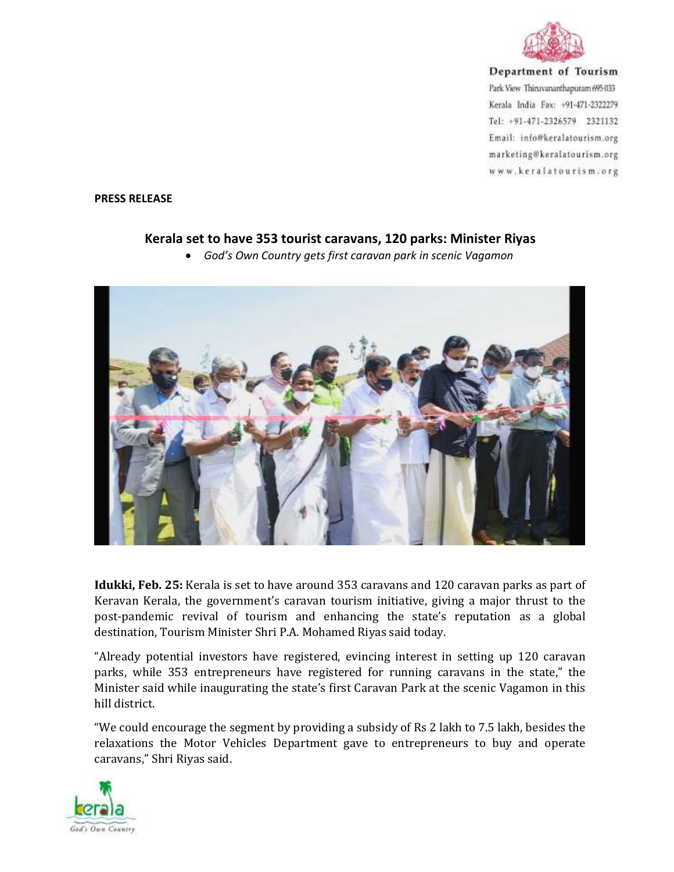

Department of Tourism Park View Thiruvananthapuram 695 033 Kerala India Fax: +91-471-2322279 Tel: +91-471-2326579 2321132 Email: info@keralatourism.org marketing@keralatourism.org www.keralatourism.org

**PRESS RELEASE** 

## **Kerala set to have 353 tourist caravans, 120 parks: Minister Riyas**

*God's Own Country gets first caravan park in scenic Vagamon* 



**Idukki, Feb. 25:** Kerala is set to have around 353 caravans and 120 caravan parks as part of Keravan Kerala, the government's caravan tourism initiative, giving a major thrust to the post-pandemic revival of tourism and enhancing the state's reputation as a global destination, Tourism Minister Shri P.A. Mohamed Riyas said today.

"Already potential investors have registered, evincing interest in setting up 120 caravan parks, while 353 entrepreneurs have registered for running caravans in the state," the Minister said while inaugurating the state's first Caravan Park at the scenic Vagamon in this hill district.

"We could encourage the segment by providing a subsidy of Rs 2 lakh to 7.5 lakh, besides the relaxations the Motor Vehicles Department gave to entrepreneurs to buy and operate caravans," Shri Riyas said.